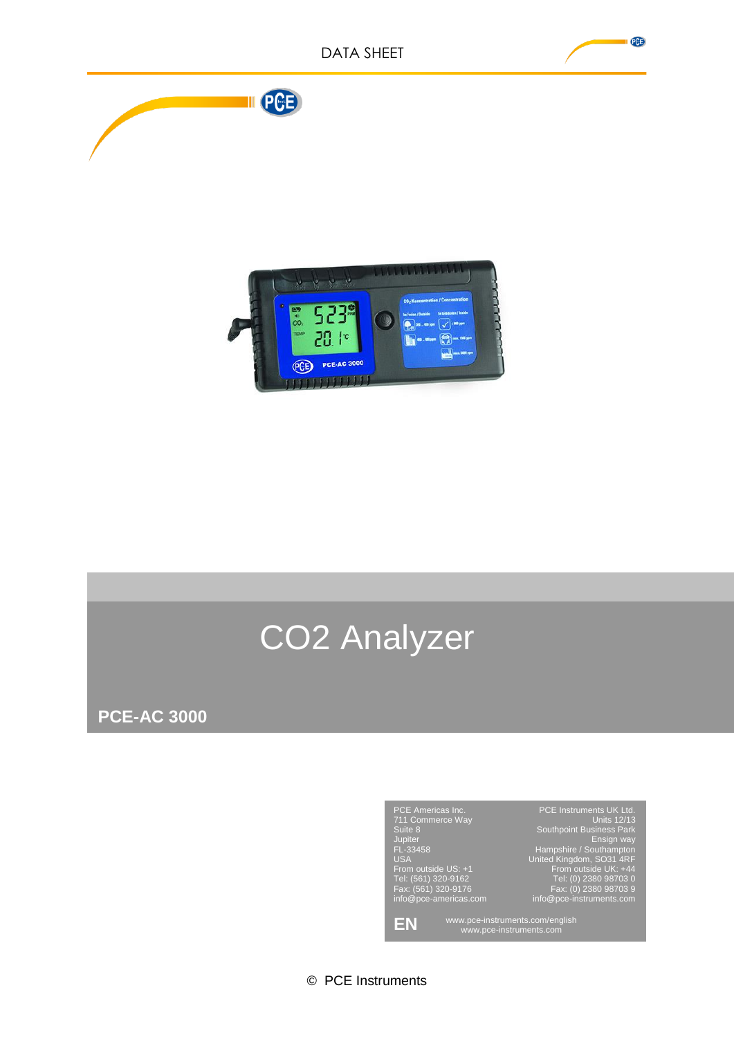

# CO2 Analyzer

**PCE-AC 3000**



© PCE Instruments